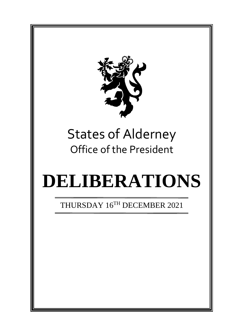

# States of Alderney Office of the President

# **DELIBERATIONS**

THURSDAY 16TH DECEMBER 2021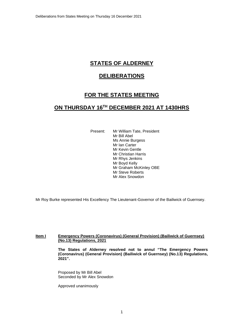# **STATES OF ALDERNEY**

## **DELIBERATIONS**

# **FOR THE STATES MEETING**

## **ON THURSDAY 16 TH DECEMBER 2021 AT 1430HRS**

Present: Mr William Tate, President Mr Bill Abel Ms Annie Burgess Mr Ian Carter Mr Kevin Gentle Mr Christian Harris Mr Rhys Jenkins Mr Boyd Kelly Mr Graham McKinley OBE Mr Steve Roberts Mr Alex Snowdon

Mr Roy Burke represented His Excellency The Lieutenant-Governor of the Bailiwick of Guernsey.

#### **Item I Emergency Powers (Coronavirus) (General Provision) (Bailiwick of Guernsey) (No.13) Regulations, 2021**

**The States of Alderney resolved not to annul "The Emergency Powers (Coronavirus) (General Provision) (Bailiwick of Guernsey) (No.13) Regulations, 2021".**

Proposed by Mr Bill Abel Seconded by Mr Alex Snowdon

Approved unanimously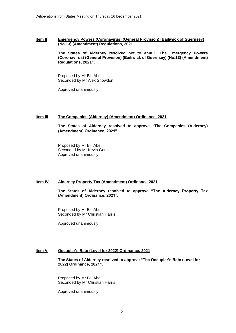#### **Item II Emergency Powers (Coronavirus) (General Provision) (Bailiwick of Guernsey) (No.13) (Amendment) Regulations, 2021**

**The States of Alderney resolved not to annul "The Emergency Powers (Coronavirus) (General Provision) (Bailiwick of Guernsey) (No.13) (Amendment) Regulations, 2021".**

Proposed by Mr Bill Abel Seconded by Mr Alex Snowdon

Approved unanimously

#### **Item III The Companies (Alderney) (Amendment) Ordinance, 2021**

**The States of Alderney resolved to approve "The Companies (Alderney) (Amendment) Ordinance, 2021".**

Proposed by Mr Bill Abel Seconded by Mr Kevin Gentle Approved unanimously

#### **Item IV Alderney Property Tax (Amendment) Ordinance 2021**

**The States of Alderney resolved to approve "The Alderney Property Tax (Amendment) Ordinance, 2021".**

Proposed by Mr Bill Abel Seconded by Mr Christian Harris

Approved unanimously

#### **Item V Occupier's Rate (Level for 2022) Ordinance, 2021**

**The States of Alderney resolved to approve "The Occupier's Rate (Level for 2022) Ordinance, 2021".**

Proposed by Mr Bill Abel Seconded by Mr Christian Harris

Approved unanimously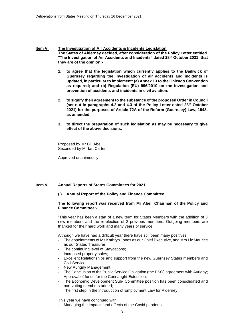#### **Item VI The Investigation of Air Accidents & Incidents Legislation The States of Alderney decided, after consideration of the Policy Letter entitled "The Investigation of Air Accidents and Incidents" dated 28th October 2021, that they are of the opinion:-**

- **1. to agree that the legislation which currently applies to the Bailiwick of Guernsey regarding the investigation of air accidents and incidents is updated, in particular to implement: (a) Annex 13 to the Chicago Convention as required; and (b) Regulation (EU) 996/2010 on the investigation and prevention of accidents and incidents in civil aviation.**
- **2. to signify their agreement to the substance of the proposed Order in Council (set out in paragraphs 4.2 and 4.3 of the Policy Letter dated 28th October 2021) for the purposes of Article 72A of the Reform (Guernsey) Law, 1948, as amended.**
- **3. to direct the preparation of such legislation as may be necessary to give effect of the above decisions.**

Proposed by Mr Bill Abel Seconded by Mr Ian Carter

Approved unanimously

#### **Item VII Annual Reports of States Committees for 2021**

**(i) Annual Report of the Policy and Finance Committee**

#### **The following report was received from Mr Abel, Chairman of the Policy and Finance Committee:-**

"This year has been a start of a new term for States Members with the addition of 3 new members and the re-election of 2 previous members. Outgoing members are thanked for their hard work and many years of service.

Although we have had a difficult year there have still been many positives:

- The appointments of Ms Kathryn Jones as our Chief Executive, and Mrs Liz Maurice as our States Treasurer;
- The continuing level of Staycations;
- Increased property sales;
- Excellent Relationships and support from the new Guernsey States members and Civil Service;
- New Auriany Management:
- The Conclusion of the Public Service Obligation (the PSO) agreement with Aurigny;
- Approval of funds for the Connaught Extension;
- The Economic Development Sub- Committee position has been consolidated and non-voting members added;
- The first step in the introduction of Employment Law for Alderney;

This year we have continued with:

Managing the impacts and effects of the Covid pandemic;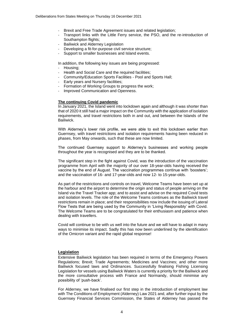- Brexit and Free Trade Agreement issues and related legislation;
- Transport links with the Little Ferry service, the PSO, and the re-introduction of Southampton flights;
- Bailiwick and Alderney Legislation
- Developing a fit-for-purpose civil service structure;
- Support to smaller businesses and Island events.

In addition, the following key issues are being progressed:

- Housing:
- Health and Social Care and the required facilities;
- Community/Education Sports Facilities Pool and Sports Hall;
- Early years and Nursery facilities;
- Formation of Working Groups to progress the work;
- Improved Communication and Openness.

#### **The continuing Covid pandemic**

In January 2021, the Island went into lockdown again and although it was shorter than that of 2020 it still had a major impact on the Community with the application of isolation requirements, and travel restrictions both in and out, and between the Islands of the **Bailiwick** 

With Alderney's lower risk profile, we were able to exit this lockdown earlier than Guernsey, with travel restrictions and isolation requirements having been reduced in phases, from May onwards, such that these are now limited.

The continued Guernsey support to Alderney's businesses and working people throughout the year is recognised and they are to be thanked.

The significant step in the fight against Covid, was the introduction of the vaccination programme from April with the majority of our over 18-year-olds having received the vaccine by the end of August. The vaccination programmes continue with 'boosters'; and the vaccination of 16- and 17-year-olds and now 12- to 15-year-olds.

As part of the restrictions and controls on travel, Welcome Teams have been set up at the harbour and the airport to determine the origin and status of people arriving on the Island via the Travel Tracker app; and to assist and advise on the required Covid tests and isolation levels. The role of the Welcome Teams continues as the Bailiwick travel restrictions remain in place; and their responsibilities now include the issuing of Lateral Flow Tests that are being used by the Community in 'Living Responsibly' with Covid. The Welcome Teams are to be congratulated for their enthusiasm and patience when dealing with travellers.

Covid will continue to be with us well into the future and we will have to adapt in many ways to minimise its impact. Sadly this has now been underlined by the identification of the Omicron variant and the rapid global response!

#### **Legislation**

Extensive Bailiwick legislation has been required in terms of the Emergency Powers Regulations; Brexit; Trade Agreements; Medicines and Vaccines; and other more Bailiwick focused laws and Ordinances. Successfully finalising Fishing Licensing Legislation for vessels using Bailiwick Waters is currently a priority for the Bailiwick and the more consultative process with France and Normandy, should minimise any possibility of 'push-back'.

For Alderney, we have finalised our first step in the introduction of employment law with The Conditions of Employment (Alderney) Law 2021 and, after further input by the Guernsey Financial Services Commission, the States of Alderney has passed the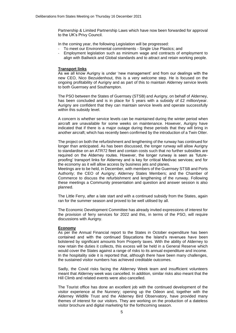Partnership & Limited Partnership Laws which have now been forwarded for approval to the UK's Privy Council.

In the coming year, the following Legislation will be progressed:

- To meet our Environmental commitments Single Use Plastics; and
- Employment legislation such as minimum wage and contracts of employment to align with Bailiwick and Global standards and to attract and retain working people.

#### **Transport links**

As we all know Aurigny is under 'new management' and from our dealings with the new CEO, Nico Bezuidenhout, this is a very welcome step. He is focused on the ongoing profitability of Aurigny and as part of this to maintain Alderney service levels to both Guernsey and Southampton.

The PSO between the States of Guernsey (STSB) and Aurigny, on behalf of Alderney, has been concluded and is in place for 5 years with a subsidy of £2 million/year. Aurigny are confident that they can maintain service levels and operate successfully within this subsidy level.

A concern is whether service levels can be maintained during the winter period when aircraft are unavailable for some weeks on maintenance. However, Aurigny have indicated that if there is a major outage during these periods that they will bring in another aircraft; which has recently been confirmed by the introduction of a Twin Otter.

The project on both the refurbishment and lengthening of the runway has continued for longer than anticipated. As has been discussed, the longer runway will allow Aurigny to standardise on an ATR72 fleet and contain costs such that no further subsidies are required on the Alderney routes. However, the longer runway is seen as 'futureproofing' transport links for Alderney and is key for critical Medivac services; and for the economy as it will allow access by business jets and planes.

Meetings are to be held, in December, with members of the Guernsey STSB and Ports Authority; the CEO of Aurigny; Alderney States Members; and the Chamber of Commerce to discuss the refurbishment and lengthening of the runway. Following these meetings a Community presentation and question and answer session is also planned.

The Little Ferry, after a late start and with a continued subsidy from the States, again ran for the summer season and proved to be well utilised by all.

The Economic Development Committee has already invited expressions of interest for the provision of ferry services for 2022 and this, in terms of the PSO, will require discussions with Aurigny.

#### **Economy**

As per the Annual Financial report to the States in October expenditure has been contained and with the continued Staycations the Island's revenues have been bolstered by significant amounts from Property taxes. With the ability of Alderney to now retain the duties it collects, this excess will be held in a General Reserve which would cover the States against a range of risks to its annual expenditure and income. In the hospitality side it is reported that, although there have been many challenges, the sustained visitor numbers has achieved creditable outcomes.

Sadly, the Covid risks facing the Alderney Week team and insufficient volunteers meant that Alderney week was cancelled. In addition, similar risks also meant that the Hill Climb and related events were also cancelled.

The Tourist office has done an excellent job with the continued development of the visitor experience at the Nunnery; opening up the Odeon and, together with the Alderney Wildlife Trust and the Alderney Bird Observatory, have provided many themes of interest for our visitors. They are working on the production of a dateless visitor brochure and digital marketing for the forthcoming season.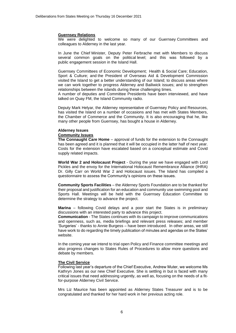#### **Guernsey Relations**

We were delighted to welcome so many of our Guernsey Committees and colleagues to Alderney in the last year.

In June the Chief Minister, Deputy Peter Ferbrache met with Members to discuss several common goals on the political level; and this was followed by a public engagement session in the Island Hall.

Guernsey Committees of Economic Development; Health & Social Care; Education, Sport & Culture; and the President of Overseas Aid & Development Commission visited the Island to get a better understanding of our Island; to discuss areas where we can work together to progress Alderney and Bailiwick issues; and to strengthen relationships between the islands during these challenging times.

A number of deputies and Committee Presidents have been interviewed, and have talked on Quay FM, the Island Community radio.

Deputy Mark Helyar, the Alderney representative of Guernsey Policy and Resources, has visited the Island on a number of occasions and has met with States Members, the Chamber of Commerce and the Community. It is also encouraging that he, like many other people from Guernsey, has bought a house in Alderney.

#### **Alderney Issues**

#### **Community Issues**

**The Connaught Care Home** – approval of funds for the extension to the Connaught has been agreed and it is planned that it will be occupied in the latter half of next year. Costs for the extension have escalated based on a conceptual estimate and Covid supply related impacts.

**World War 2 and Holocaust Project** - During the year we have engaged with Lord Pickles and the envoy for the International Holocaust Remembrance Alliance (IHRA) Dr. Gilly Carr on World War 2 and Holocaust issues. The Island has compiled a questionnaire to assess the Community's opinions on these issues.

**Community Sports Facilities** – the Alderney Sports Foundation are to be thanked for their proposal and justification for an education and community use swimming pool and Sports Hall. Meetings will be held with the Guernsey Education Committee to determine the strategy to advance the project.

**Marina** – following Covid delays and a poor start the States is in preliminary discussions with an interested party to advance this project.

**Communication** - The States continues with its campaign to improve communications and openness, such as, media briefings and relevant press releases; and member 'Surgeries' - thanks to Annie Burgess – have been introduced. In other areas, we still have work to do regarding the timely publication of minutes and agendas on the States' website.

In the coming year we intend to trial open Policy and Finance committee meetings and also progress changes to States Rules of Procedures to allow more questions and debate by members.

#### **The Civil Service**

Following last year's departure of the Chief Executive, Andrew Muter, we welcome Ms Kathryn Jones as our new Chief Executive. She is settling in but is faced with many critical issues that need addressing urgently, as well as, focusing on the needs of a fitfor-purpose Alderney Civil Service.

Mrs Liz Maurice has been appointed as Alderney States Treasurer and is to be congratulated and thanked for her hard work in her previous acting role.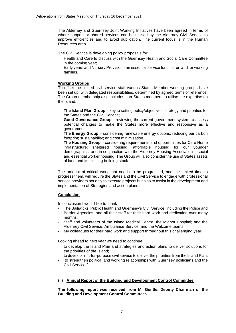The Alderney and Guernsey Joint Working Initiatives have been agreed in terms of where support or shared services can be utilised by the Alderney Civil Service to improve efficiencies and to avoid duplication. The current focus is in the Human Resources area.

The Civil Service is developing policy proposals for:

- Health and Care to discuss with the Guernsey Health and Social Care Committee in the coming year;
- Early years and Nursery Provision an essential service for children and for working families.

#### **Working Groups**

To offset the limited civil service staff various States Member working groups have been set up, with delegated responsibilities, determined by agreed terms of reference. The Group membership also includes non-States members to utilise the expertise on the Island.

- **The Island Plan Group** key to setting policy/objectives, strategy and priorities for the States and the Civil Service;
- **Good Governance Group** reviewing the current government system to assess potential changes to make the States more effective and responsive as a government;
- **The Energy Group** considering renewable energy options; reducing our carbon footprint; sustainability; and cost minimisation.
- **The Housing Group** considering requirements and opportunities for Care Home infrastructure; sheltered housing; affordable housing for our younger demographics; and in conjunction with the Alderney Housing Association – social and essential worker housing. The Group will also consider the use of States assets of land and its existing building stock.

The amount of critical work that needs to be progressed, and the limited time to progress them, will require the States and the Civil Service to engage with professional service providers not only to execute projects but also to assist in the development and implementation of Strategies and action plans.

#### **Conclusion**

In conclusion I would like to thank

- The Bailiwicks' Public Health and Guernsey's Civil Service, including the Police and Border Agencies, and all their staff for their hard work and dedication over many months.
- Staff and volunteers of the Island Medical Centre; the Mignot Hospital; and the Alderney Civil Service, Ambulance Service, and the Welcome teams.
- My colleagues for their hard work and support throughout this challenging year;

Looking ahead to next year we need to continue:

- to develop the Island Plan and strategies and action plans to deliver solutions for the priorities of the Island;
- to develop a 'fit-for-purpose civil service to deliver the priorities from the Island Plan.
- to strengthen political and working relationships with Guernsey politicians and the Civil Service."

#### **(ii) Annual Report of the Building and Development Control Committee**

**The following report was received from Mr Gentle, Deputy Chairman of the Building and Development Control Committee:-**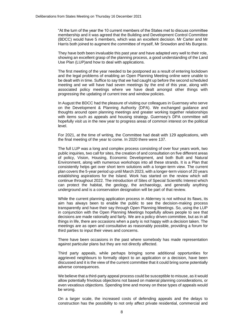"At the turn of the year the 10 current members of the States met to discuss committee membership and it was agreed that the Building and Development Control Committee (BDCC) would have 5 members, which was an excellent decision. Mr Carter and Mr Harris both joined to augment the committee of myself, Mr Snowdon and Ms Burgess.

They have both been invaluable this past year and have adapted very well to their role, showing an excellent grasp of the planning process, a good understanding of the Land Use Plan (LUP)and how to deal with applications.

The first meeting of the year needed to be postponed as a result of entering lockdown and the legal problems of enabling an Open Planning Meeting online were unable to be dealt with in time. Suffice to say that we had caught up before the second scheduled meeting and we will have had seven meetings by the end of this year, along with associated policy meetings where we have dealt amongst other things with progressing the updating of current tree and window policies.

In August the BDCC had the pleasure of visiting our colleagues in Guernsey who serve on the Development & Planning Authority (DPA). We exchanged guidance and thoughts around open planning meetings and greater working together relationships with items such as appeals and housing strategy. Guernsey's DPA committee will hopefully visit us in the new year to progress areas of common interest on the political level.

For 2021, at the time of writing, the Committee had dealt with 129 applications, with the final meeting of the year to come. In 2020 there were 137.

The full LUP was a long and complex process consisting of over four years work, two public inquiries, two call for sites, the creation of and consultation on five different areas of policy, Vision, Housing, Economic Development, and both Built and Natural Environment, along with numerous workshops into all these strands. It is a Plan that consistently helps get over short term solutions with a longer-term view. The current plan covers the 5-year period up until March 2023, with a longer-term vision of 20 years establishing aspirations for the Island. Work has started on the review which will continue throughout 2022. The introduction of Sites of Special Scientific Interest which can protect the habitat, the geology, the archaeology, and generally anything underground and is a conservation designation will be part of that review.

While the current planning application process in Alderney is not without its flaws, its aim has always been to enable the public to see the decision-making process transparently and have their say through Open Planning Meetings. So, using the LUP in conjunction with the Open Planning Meetings hopefully allows people to see that decisions are made rationally and fairly. We are a policy driven committee, but as in all things in life, there are occasions when a party is not happy with a decision taken. The meetings are as open and consultative as reasonably possible, providing a forum for third parties to input their views and concerns.

There have been occasions in the past where somebody has made representation against particular plans but they are not directly affected.

Third party appeals, while perhaps bringing some additional opportunities for aggrieved neighbours to formally object to an application or a decision, have been discussed and it is the view of the current committee that it could bring some potentially adverse consequences.

We believe that a third-party appeal process could be susceptible to misuse, as it would allow potentially frivolous objections not based on material planning considerations, or even vexatious objections. Spending time and money on these types of appeals would be wrong.

On a larger scale, the increased costs of defending appeals and the delays to construction has the possibility to not only affect private residential, commercial and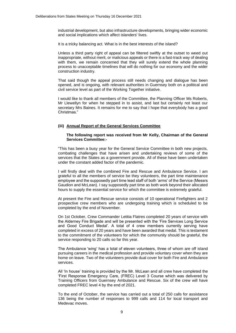industrial development, but also infrastructure developments, bringing wider economic and social implications which affect islanders' lives.

It is a tricky balancing act. What is in the best interests of the island?

Unless a third party right of appeal can be filtered swiftly at the outset to weed out inappropriate, without merit, or malicious appeals or there is a fast-track way of dealing with them, we remain concerned that they will surely extend the whole planning process to unacceptable timelines that will do nothing for our economy and the wider construction industry.

That said though the appeal process still needs changing and dialogue has been opened, and is ongoing, with relevant authorities in Guernsey both on a political and civil service level as part of the Working Together initiative.

I would like to thank all members of the Committee, the Planning Officer Ms Roberts, Mr Llewellyn for when he stepped in to assist, and last but certainly not least our secretary Mrs Baines. It remains for me to say that I hope that everybody has a good Christmas."

#### **(iii) Annual Report of the General Services Committee**

#### **The following report was received from Mr Kelly, Chairman of the General Services Committee:-**

"This has been a busy year for the General Service Committee in both new projects, combating challenges that have arisen and undertaking reviews of some of the services that the States as a government provide. All of these have been undertaken under the constant added factor of the pandemic.

I will firstly deal with the combined Fire and Rescue and Ambulance Service. I am grateful to all the members of service be they volunteers, the part time maintenance employee and the supposedly part time lead staff of both 'arms' of the Service (Messrs Gaudion and McLean). I say supposedly part time as both work beyond their allocated hours to supply the essential service for which the committee is extremely grateful.

At present the Fire and Rescue service consists of 10 operational Firefighters and 2 prospective crew members who are undergoing training which is scheduled to be completed by the end of November.

On 1st October, Crew Commander Letitia Flatres completed 20 years of service with the Alderney Fire Brigade and will be presented with the 'Fire Services Long Service and Good Conduct Medal'. A total of 4 crew members currently serving have completed in excess of 20 years and have been awarded that medal. This is testament to the commitment of the volunteers for which the community should be grateful, the service responding to 20 calls so far this year.

The Ambulance 'wing' has a total of eleven volunteers, three of whom are off island pursuing careers in the medical profession and provide voluntary cover when they are home on leave. Two of the volunteers provide dual cover for both Fire and Ambulance services.

All 'In house' training is provided by the Mr. McLean and all crew have completed the 'First Response Emergency Care, (FREC) Level 3 Course which was delivered by Training Officers from Guernsey Ambulance and Rescue. Six of the crew will have completed FREC level 4 by the end of 2021.

To the end of October, the service has carried out a total of 250 calls for assistance 136 being the number of responses to 999 calls and 114 for local transport and Medevac moves.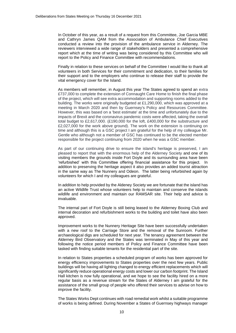In October of this year, as a result of a request from this Committee, Joe Garcia MBE and Cathryn James QAM from the Association of Ambulance Chief Executives conducted a review into the provision of the ambulance service in Alderney. The reviewers interviewed a wide range of stakeholders and presented a comprehensive report which at the time of writing was being considered by this Committee who will report to the Policy and Finance Committee with recommendations.

Finally in relation to these services on behalf of the Committee I would like to thank all volunteers in both Services for their commitment and dedication, to their families for their support and to the employers who continue to release their staff to provide the vital emergency cover for the Island.

As members will remember, in August this year The States agreed to spend an extra £737,000 to complete the extension of Connaught Care Home to finish the final phase of the project, which will see extra accommodation and supporting rooms added to the building. The works were originally budgeted at  $£1,290,000$ , which was approved at a meeting in March 2020 and then by Guernsey's Policy and Resources Committee. However, this was based on a 'best estimate' at the time and unfortunately due to the impacts of Brexit and the coronavirus pandemic costs were affected, taking the overall total budget to £2,617,000. (£190,000 for the loft, £400,000 for the substructure and £2,027,000 for the work above ground). The work on the extension is continuing on time and although this is a GSC project I am grateful for the help of my colleague Mr. Gentle who although not a member of GSC has continued to be the elected member responsible for the project continuing from 2020 when he was a GSC member.

As part of our continuing drive to ensure the island's heritage is preserved, I am pleased to report that with the enormous help of the Alderney Society and one of its visiting members the grounds inside Fort Doyle and its surrounding area have been 'refurbished' with this Committee offering financial assistance for this project. In addition to preserving the heritage aspect it also provides an added tourist attraction in the same way as The Nunnery and Odeon. The latter being refurbished again by volunteers for which I and my colleagues are grateful.

In addition to help provided by the Aldeney Society we are fortunate that the island has an active Wildlife Trust whose volunteers help to maintain and conserve the islands wildlife and environment and maintain our RAMSAR site. Their help and advice is invaluable.

The internal part of Fort Doyle is still being leased to the Alderney Boxing Club and internal decoration and refurbishment works to the building and toilet have also been approved.

Improvement works to the Nunnery Heritage Site have been successfully undertaken with a new roof to the Carriage Store and the removal of the Sunroom. Further archaeological digs are scheduled for next year. The tenancy agreement between the Alderney Bird Observatory and the States was terminated in May of this year and following the notice period members of Policy and Finance Committee have been tasked with finding suitable tenants for the residential part of the site.

In relation to States properties a scheduled program of works has been approved for energy efficiency improvements to States properties over the next few years. Public buildings will be having all lighting changed to energy efficient replacements which will significantly reduce operational energy costs and lower our carbon footprint. The Island Hall kitchen is now fully operational, and we hope to see the facility hired on a more regular basis as a revenue stream for the States of Alderney I am grateful for the assistance of the small group of people who offered their services to advise on how to improve the facility.

The States Works Dept continues with road remedial work whilst a suitable programme of works is being defined. During November a States of Guernsey highways manager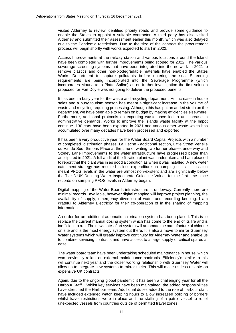visited Alderney to review identified priority roads and provide some guidance to enable the States to appoint a suitable contractor. A third party has also visited Alderney and submitted their assessment earlier this month, which was also delayed due to the Pandemic restrictions. Due to the size of the contract the procurement process will begin shortly with works expected to start in 2022.

Access Improvements at the railway station and various locations around the Island have been completed with further improvements being scoped for 2022. The various sewerage screening systems that have been integrated into the network in 2021 to remove plastics and other non-biodegradable materials have enabled the States Works Department to capture pollutants before entering the sea. Screening requirements are being incorporated into the Sewerage Programme (which incorporates Mouriaux to Platte Saline) as on further investigation the first solution proposed for Fort Doyle was not going to deliver the proposed benefits.

It has been a busy year for the waste and recycling department. An increase in house sales and a busy tourism season has meant a significant increase in the volume of waste and recycling requiring processing. Although this has put an added strain on the department, we have been able to remain on budget by making efficiencies elsewhere. Furthermore, additional protocols on exporting waste have led to an increase in administrative demands. Works to improve the islands waste facility at the Impot continue. 130 cars have been exported in 2021 and various other waste which has accumulated over many decades have been processed and exported.

It has been a very productive year for the Water Board Capital Projects with a number of completed distribution phases. La Heche - additional section, Little Street,Venelle du Val du Sud, Simons Place at the time of writing two further phases underway and Stoney Lane Improvements to the water infrastructure have progressed better than anticipated in 2021. A full audit of the filtration plant was undertaken and I am pleased to report that the plant was in as good a condition as when it was installed. A new water catchment strategy has resulted in less expenditure on pumping costs. It has also meant PFOS levels in the water are almost non-existent and are significantly below the Tier 3 UK Drinking Water Inspectorate Guideline Values for the first time since records on sampling PFOS levels in Alderney began.

Digital mapping of the Water Boards infrastructure is underway. Currently there are minimal records available, however digital mapping will improve project planning, the availability of supply, emergency diversion of water and recording keeping. I am grateful to Alderney Electricity for their co-operation of in the sharing of mapping information.

An order for an additional automatic chlorination system has been placed. This is to replace the current manual dosing system which has come to the end of its life and is inefficient to run. The new state-of art system will automate the manufacture of chlorine on site and is the most energy system out there. It is also a move to mirror Guernsey Water systems which will greatly improve continuity for Alderney Water and enable us to combine servicing contracts and have access to a large supply of critical spares at ease.

The water board team have been undertaking scheduled maintenance in house, which was previously reliant on external maintenance contracts. Efficiency's similar to this will continue next year and the closer working relationship with Guernsey Water will allow us to integrate new systems to mirror theirs. This will make us less reliable on expensive UK contracts.

Again, due to the ongoing global pandemic it has been a challenging year for all the Harbour Staff. Whilst key services have been maintained, the added responsibilities have stretched the Harbour team. Additional duties added to the role of harbour staff, have included extended watch keeping hours to allow increased policing of borders whilst travel restrictions were in place and the staffing of a patrol vessel to repel unexpected vessels from countries outside of permitted travel zones.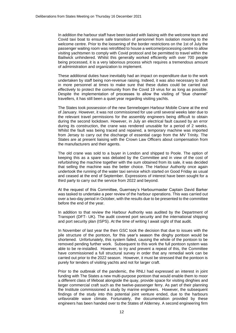In addition the harbour staff have been tasked with liaising with the welcome team and Covid taxi boat to ensure safe transition of personnel from isolation mooring to the welcome centre. Prior to the loosening of the border restrictions on the 1st of July the passenger waiting room was retrofitted to house a welcome/processing centre to allow visiting yachtsmen to comply with Covid protocol and be permitted to travel within the Bailiwick unhindered. Whilst this generally worked efficiently with over 700 people being processed, it is a very laborious process which requires a tremendous amount of administration and organization to implement.

These additional duties have inevitably had an impact on expenditure due to the work undertaken by staff being non-revenue raising. Indeed, it was also necessary to draft in more personnel at times to make sure that these duties could be carried out effectively to protect the community from the Covid 19 virus for as long as possible. Despite the implementation of processes to allow the visiting of "blue channel" travellers, it has still been a quiet year regarding visiting yachts.

The States took possession of the new Sennebogen Harbour Mobile Crane at the end of January. However, it was not commissioned for use until several weeks later due to the relevant travel permissions for the assembly engineers being difficult to obtain during the second lockdown. However, in July an electrical fault caused by an error during its construction, the crane was rendered unusable for a period of 2 weeks. Whilst the fault was being traced and repaired, a temporary machine was imported from Jersey to carry out the discharge of essential cargo from the MV Trinity. The States are at present liaising with the Crown Law Officers about compensation from the manufacturers and their agents.

The old crane was sold to a buyer in London and shipped to Poole. The option of keeping this as a spare was debated by the Committee and in view of the cost of refurbishing the machine together with the sum obtained from its sale, it was decided that selling the machine was the better choice. The Harbour Authority once again undertook the running of the water taxi service which started on Good Friday as usual and ceased at the end of September. Expressions of interest have been sought for a third party to carry out the service from 2022 and beyond.

At the request of this Committee, Guernsey's Harbourmaster Captain David Barker was tasked to undertake a peer review of the harbour operations. This was carried out over a two-day period in October, with the results due to be presented to the committee before the end of the year.

In addition to that review the Harbour Authority was audited by the Department of Transport (DFT- UK). The audit covered port security and the international shipping and port security plan (ISPS). At the time of writing I await sight of that audit.

In November of last year the then GSC took the decision that due to issues with the pile structure of the pontoon, for this year's season the dinghy pontoon would be shortened. Unfortunately, this system failed, causing the whole of the pontoon to be removed pending further work. Subsequent to this work the full pontoon system was able to be re-installed. However, to try and prevent a repeat of this, the Committee have commissioned a full structural survey in order that any remedial work can be carried out prior to the 2022 season. However, it must be stressed that the pontoon is purely for tenders of visiting yachts and not for larger craft.

Prior to the outbreak of the pandemic, the RNLI had expressed an interest in joint funding with The States a new multi-purpose pontoon that would enable them to moor a different class of lifeboat alongside the quay, provide space for visiting dinghies and larger commercial craft such as the twelve-passenger ferry. As part of their planning the Institute commissioned a study by marine engineers. However, the subsequent findings of the study into this potential joint venture ended, due to the harbours unfavorable wave climate. Fortunately, the documentation provided by these engineers has been handed over to the States of Alderney. A second engineering firm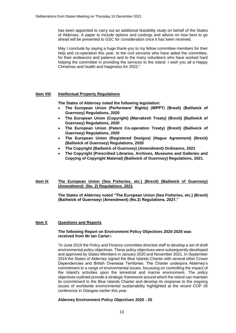has been appointed to carry out an additional feasibility study on behalf of the States of Alderney. A paper to include options and costings and advice on how best to go ahead will be presented to GSC for consideration once it has been received.

May I conclude by saying a huge thank-you to my fellow committee members for their help and co-operation this year, to the civil servants who have aided the committee, for their endeavors and patience and to the many volunteers who have worked hard helping the committee in providing the services to the island. I wish you all a Happy Christmas and health and happiness for 2022."

#### **Item VIII Intellectual Property Regulations**

**The States of Alderney noted the following legislation:**

- **The European Union (Performers' Rights) (WPPT) (Brexit) (Bailiwick of [Guernsey\) Regulations, 2020](https://www.guernseylegalresources.gg/CHttpHandler.ashx?documentid=81670)**
- **[The European Union \(Copyright\) \(Marrakesh Treaty\) \(Brexit\) \(Bailiwick of](https://www.guernseylegalresources.gg/CHttpHandler.ashx?documentid=81480)  [Guernsey\) Regulations, 2020](https://www.guernseylegalresources.gg/CHttpHandler.ashx?documentid=81480)**
- **[The European Union \(Patent Co-operation Treaty\) \(Brexit\) \(Bailiwick of](https://www.guernseylegalresources.gg/CHttpHandler.ashx?documentid=81669)  [Guernsey\) Regulations, 2020](https://www.guernseylegalresources.gg/CHttpHandler.ashx?documentid=81669)**
- **[The European Union \(Registered Designs\) \(Hague Agreement\) \(Brexit\)](https://www.guernseylegalresources.gg/CHttpHandler.ashx?documentid=81671)  [\(Bailiwick of Guernsey\) Regulations, 2020](https://www.guernseylegalresources.gg/CHttpHandler.ashx?documentid=81671)**
- **[The Copyright \(Bailiwick of Guernsey\) \(Amendment\) Ordinance, 2021](https://www.guernseylegalresources.gg/CHttpHandler.ashx?documentid=82208)**
- **[The Copyright \(Prescribed Libraries, Archives, Museums and Galleries and](https://www.guernseylegalresources.gg/CHttpHandler.ashx?documentid=82211)  [Copying of Copyright Material\) \(Bailiwick of Guernsey\) Regulations,](https://www.guernseylegalresources.gg/CHttpHandler.ashx?documentid=82211) 2021**.

#### **Item IX The European Union (Sea Fisheries, etc.) (Brexit) (Bailiwick of Guernsey) (Amendment) (No. 2) Regulations, 2021**

**The States of Alderney noted "The European Union (Sea Fisheries, etc.) (Brexit) (Bailiwick of Guernsey) (Amendment) (No.2) Regulations, 2021."**

#### **Item X Questions and Reports**

#### **The following Report on Environment Policy Objectives 2020-2025 was received from Mr Ian Carter:-**

"In June 2019 the Policy and Finance committee directed staff to develop a set of draft environmental policy objectives. These policy objectives were subsequently developed and approved by States Members in January 2020 and November 2021. In September 2019 the States of Alderney signed the Blue Islands Charter with several other Crown Dependencies and British Overseas Territories. The Charter underpins Alderney's commitment to a range of environmental issues, focussing on controlling the impact of the Island's activities upon the terrestrial and marine environment. The policy objectives outlined provide a strategic framework around which the island can maintain its commitment to the Blue Islands Charter and develop its response to the ongoing issues of worldwide environmental sustainability highlighted at the recent COP 26 conference in Glasgow earlier this year.

#### **Alderney Environment Policy Objectives 2020 - 25**